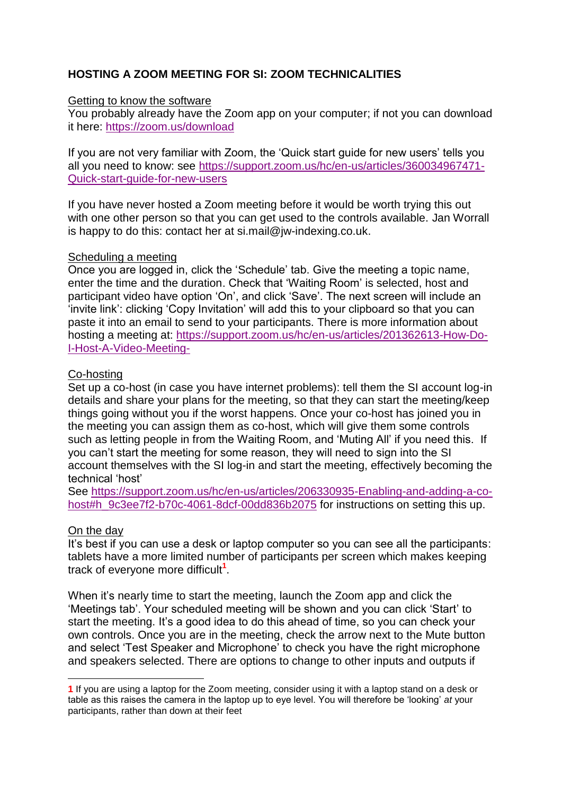# **HOSTING A ZOOM MEETING FOR SI: ZOOM TECHNICALITIES**

## **Getting to know the software**

You probably already have the Zoom app on your computer; if not you can download it here:<https://zoom.us/download>

If you are not very familiar with Zoom, the 'Quick start guide for new users' tells you all you need to know: see [https://support.zoom.us/hc/en-us/articles/360034967471-](https://support.zoom.us/hc/en-us/articles/360034967471-Quick-start-guide-for-new-users) [Quick-start-guide-for-new-users](https://support.zoom.us/hc/en-us/articles/360034967471-Quick-start-guide-for-new-users)

If you have never hosted a Zoom meeting before it would be worth trying this out with one other person so that you can get used to the controls available. Jan Worrall is happy to do this: contact her at si.mail@jw-indexing.co.uk.

#### Scheduling a meeting

Once you are logged in, click the 'Schedule' tab. Give the meeting a topic name, enter the time and the duration. Check that 'Waiting Room' is selected, host and participant video have option 'On', and click 'Save'. The next screen will include an 'invite link': clicking 'Copy Invitation' will add this to your clipboard so that you can paste it into an email to send to your participants. There is more information about hosting a meeting at: [https://support.zoom.us/hc/en-us/articles/201362613-How-Do-](https://support.zoom.us/hc/en-us/articles/201362613-How-Do-I-Host-A-Video-Meeting-)[I-Host-A-Video-Meeting-](https://support.zoom.us/hc/en-us/articles/201362613-How-Do-I-Host-A-Video-Meeting-)

#### Co-hosting

Set up a co-host (in case you have internet problems): tell them the SI account log-in details and share your plans for the meeting, so that they can start the meeting/keep things going without you if the worst happens. Once your co-host has joined you in the meeting you can assign them as co-host, which will give them some controls such as letting people in from the Waiting Room, and 'Muting All' if you need this. If you can't start the meeting for some reason, they will need to sign into the SI account themselves with the SI log-in and start the meeting, effectively becoming the technical 'host'

See [https://support.zoom.us/hc/en-us/articles/206330935-Enabling-and-adding-a-co](https://support.zoom.us/hc/en-us/articles/206330935-Enabling-and-adding-a-co-host#h_9c3ee7f2-b70c-4061-8dcf-00dd836b2075)[host#h\\_9c3ee7f2-b70c-4061-8dcf-00dd836b2075](https://support.zoom.us/hc/en-us/articles/206330935-Enabling-and-adding-a-co-host#h_9c3ee7f2-b70c-4061-8dcf-00dd836b2075) for instructions on setting this up.

#### On the day

1

It's best if you can use a desk or laptop computer so you can see all the participants: tablets have a more limited number of participants per screen which makes keeping track of everyone more difficult**<sup>1</sup>** .

When it's nearly time to start the meeting, launch the Zoom app and click the 'Meetings tab'. Your scheduled meeting will be shown and you can click 'Start' to start the meeting. It's a good idea to do this ahead of time, so you can check your own controls. Once you are in the meeting, check the arrow next to the Mute button and select 'Test Speaker and Microphone' to check you have the right microphone and speakers selected. There are options to change to other inputs and outputs if

**<sup>1</sup>** If you are using a laptop for the Zoom meeting, consider using it with a laptop stand on a desk or table as this raises the camera in the laptop up to eye level. You will therefore be 'looking' *at* your participants, rather than down at their feet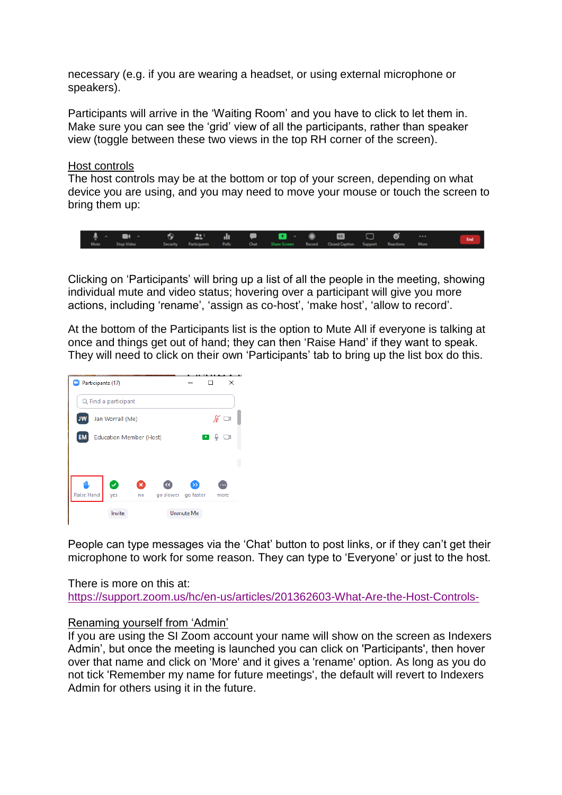necessary (e.g. if you are wearing a headset, or using external microphone or speakers).

Participants will arrive in the 'Waiting Room' and you have to click to let them in. Make sure you can see the 'grid' view of all the participants, rather than speaker view (toggle between these two views in the top RH corner of the screen).

Host controls

The host controls may be at the bottom or top of your screen, depending on what device you are using, and you may need to move your mouse or touch the screen to bring them up:



Clicking on 'Participants' will bring up a list of all the people in the meeting, showing individual mute and video status; hovering over a participant will give you more actions, including 'rename', 'assign as co-host', 'make host', 'allow to record'.

At the bottom of the Participants list is the option to Mute All if everyone is talking at once and things get out of hand; they can then 'Raise Hand' if they want to speak. They will need to click on their own 'Participants' tab to bring up the list box do this.



People can type messages via the 'Chat' button to post links, or if they can't get their microphone to work for some reason. They can type to 'Everyone' or just to the host.

There is more on this at: <https://support.zoom.us/hc/en-us/articles/201362603-What-Are-the-Host-Controls->

#### Renaming yourself from 'Admin'

If you are using the SI Zoom account your name will show on the screen as Indexers Admin', but once the meeting is launched you can click on 'Participants', then hover over that name and click on 'More' and it gives a 'rename' option. As long as you do not tick 'Remember my name for future meetings', the default will revert to Indexers Admin for others using it in the future.